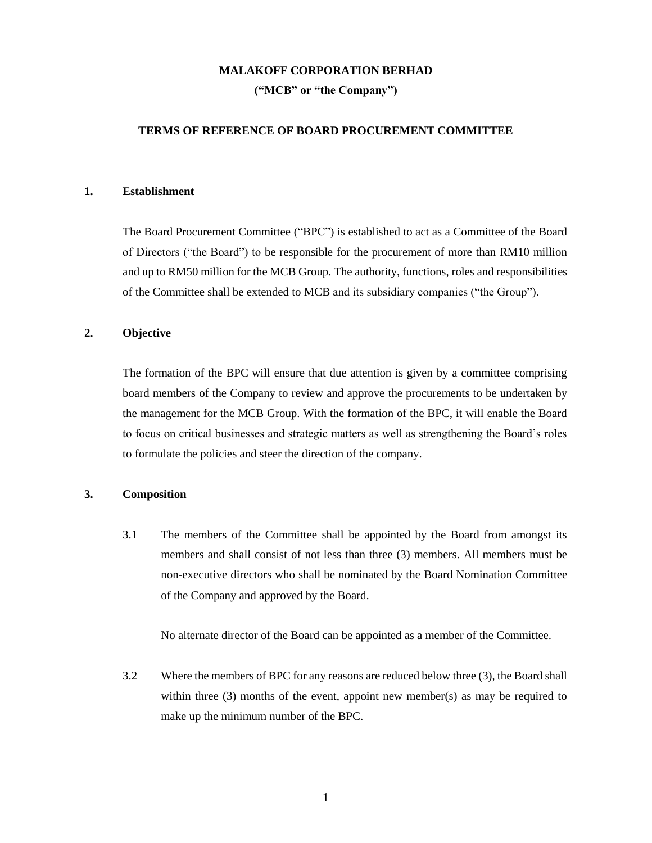#### **MALAKOFF CORPORATION BERHAD**

**("MCB" or "the Company")**

## **TERMS OF REFERENCE OF BOARD PROCUREMENT COMMITTEE**

#### **1. Establishment**

The Board Procurement Committee ("BPC") is established to act as a Committee of the Board of Directors ("the Board") to be responsible for the procurement of more than RM10 million and up to RM50 million for the MCB Group. The authority, functions, roles and responsibilities of the Committee shall be extended to MCB and its subsidiary companies ("the Group").

## **2. Objective**

The formation of the BPC will ensure that due attention is given by a committee comprising board members of the Company to review and approve the procurements to be undertaken by the management for the MCB Group. With the formation of the BPC, it will enable the Board to focus on critical businesses and strategic matters as well as strengthening the Board's roles to formulate the policies and steer the direction of the company.

## **3. Composition**

3.1 The members of the Committee shall be appointed by the Board from amongst its members and shall consist of not less than three (3) members. All members must be non-executive directors who shall be nominated by the Board Nomination Committee of the Company and approved by the Board.

No alternate director of the Board can be appointed as a member of the Committee.

3.2 Where the members of BPC for any reasons are reduced below three (3), the Board shall within three (3) months of the event, appoint new member(s) as may be required to make up the minimum number of the BPC.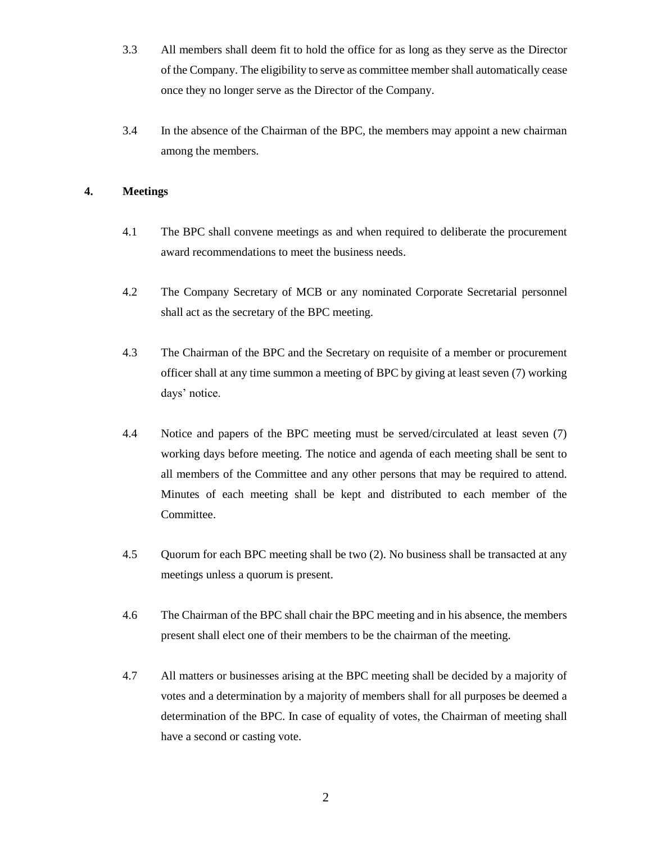- 3.3 All members shall deem fit to hold the office for as long as they serve as the Director of the Company. The eligibility to serve as committee member shall automatically cease once they no longer serve as the Director of the Company.
- 3.4 In the absence of the Chairman of the BPC, the members may appoint a new chairman among the members.

# **4. Meetings**

- 4.1 The BPC shall convene meetings as and when required to deliberate the procurement award recommendations to meet the business needs.
- 4.2 The Company Secretary of MCB or any nominated Corporate Secretarial personnel shall act as the secretary of the BPC meeting.
- 4.3 The Chairman of the BPC and the Secretary on requisite of a member or procurement officer shall at any time summon a meeting of BPC by giving at least seven (7) working days' notice.
- 4.4 Notice and papers of the BPC meeting must be served/circulated at least seven (7) working days before meeting. The notice and agenda of each meeting shall be sent to all members of the Committee and any other persons that may be required to attend. Minutes of each meeting shall be kept and distributed to each member of the Committee.
- 4.5 Quorum for each BPC meeting shall be two (2). No business shall be transacted at any meetings unless a quorum is present.
- 4.6 The Chairman of the BPC shall chair the BPC meeting and in his absence, the members present shall elect one of their members to be the chairman of the meeting.
- 4.7 All matters or businesses arising at the BPC meeting shall be decided by a majority of votes and a determination by a majority of members shall for all purposes be deemed a determination of the BPC. In case of equality of votes, the Chairman of meeting shall have a second or casting vote.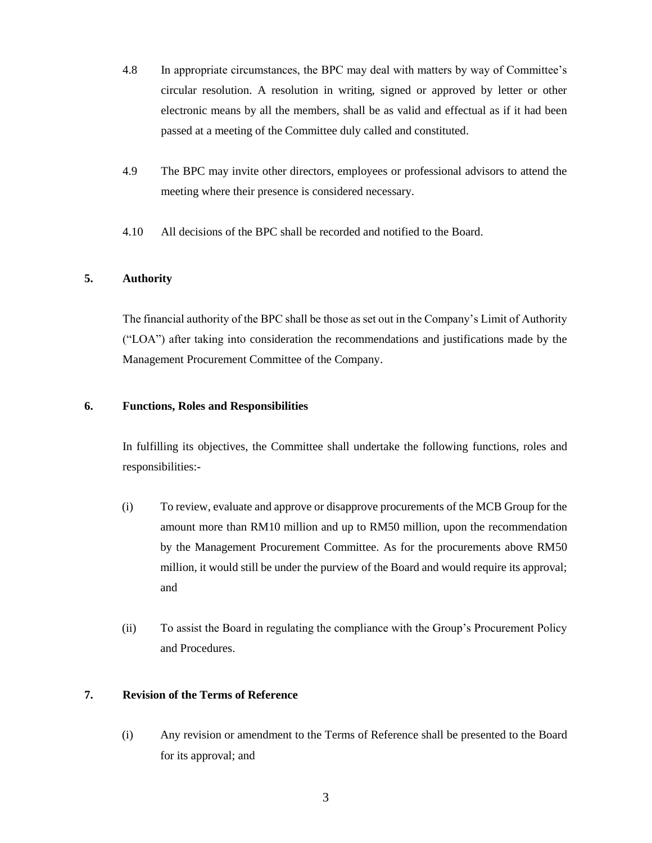- 4.8 In appropriate circumstances, the BPC may deal with matters by way of Committee's circular resolution. A resolution in writing, signed or approved by letter or other electronic means by all the members, shall be as valid and effectual as if it had been passed at a meeting of the Committee duly called and constituted.
- 4.9 The BPC may invite other directors, employees or professional advisors to attend the meeting where their presence is considered necessary.
- 4.10 All decisions of the BPC shall be recorded and notified to the Board.

## **5. Authority**

The financial authority of the BPC shall be those as set out in the Company's Limit of Authority ("LOA") after taking into consideration the recommendations and justifications made by the Management Procurement Committee of the Company.

## **6. Functions, Roles and Responsibilities**

In fulfilling its objectives, the Committee shall undertake the following functions, roles and responsibilities:-

- (i) To review, evaluate and approve or disapprove procurements of the MCB Group for the amount more than RM10 million and up to RM50 million, upon the recommendation by the Management Procurement Committee. As for the procurements above RM50 million, it would still be under the purview of the Board and would require its approval; and
- (ii) To assist the Board in regulating the compliance with the Group's Procurement Policy and Procedures.

## **7. Revision of the Terms of Reference**

(i) Any revision or amendment to the Terms of Reference shall be presented to the Board for its approval; and